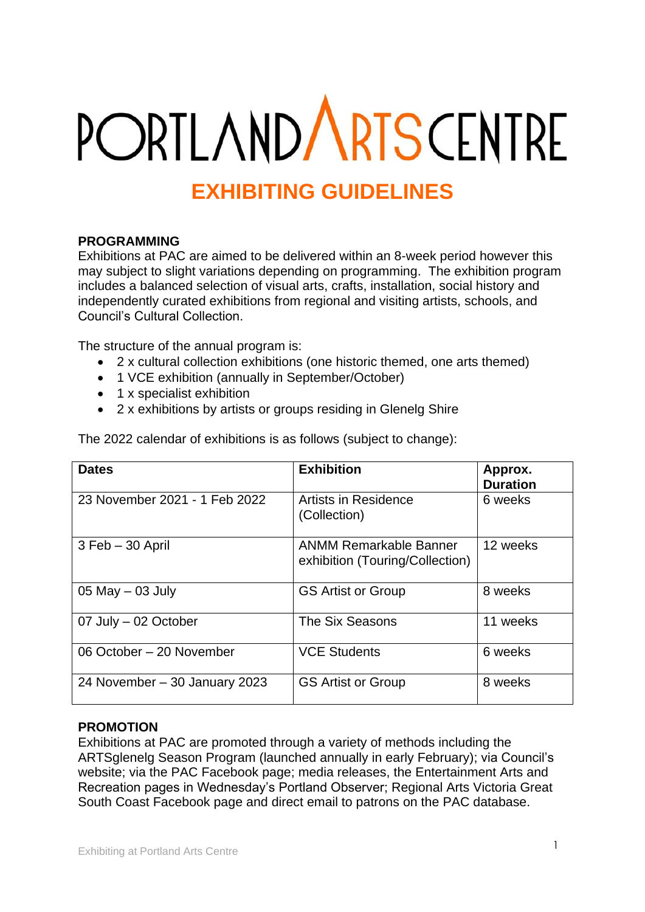# **PORTLANDARTSCENTRE**

# **EXHIBITING GUIDELINES**

# **PROGRAMMING**

Exhibitions at PAC are aimed to be delivered within an 8-week period however this may subject to slight variations depending on programming. The exhibition program includes a balanced selection of visual arts, crafts, installation, social history and independently curated exhibitions from regional and visiting artists, schools, and Council's Cultural Collection.

The structure of the annual program is:

- 2 x cultural collection exhibitions (one historic themed, one arts themed)
- 1 VCE exhibition (annually in September/October)
- 1 x specialist exhibition
- 2 x exhibitions by artists or groups residing in Glenelg Shire

| <b>Dates</b>                  | <b>Exhibition</b>                                                | Approx.<br><b>Duration</b> |
|-------------------------------|------------------------------------------------------------------|----------------------------|
| 23 November 2021 - 1 Feb 2022 | Artists in Residence<br>(Collection)                             | 6 weeks                    |
| $3$ Feb $-30$ April           | <b>ANMM Remarkable Banner</b><br>exhibition (Touring/Collection) | 12 weeks                   |
| 05 May $-$ 03 July            | <b>GS Artist or Group</b>                                        | 8 weeks                    |
| 07 July - 02 October          | The Six Seasons                                                  | 11 weeks                   |
| 06 October - 20 November      | <b>VCE Students</b>                                              | 6 weeks                    |
| 24 November - 30 January 2023 | <b>GS Artist or Group</b>                                        | 8 weeks                    |

The 2022 calendar of exhibitions is as follows (subject to change):

# **PROMOTION**

Exhibitions at PAC are promoted through a variety of methods including the ARTSglenelg Season Program (launched annually in early February); via Council's website; via the PAC Facebook page; media releases, the Entertainment Arts and Recreation pages in Wednesday's Portland Observer; Regional Arts Victoria Great South Coast Facebook page and direct email to patrons on the PAC database.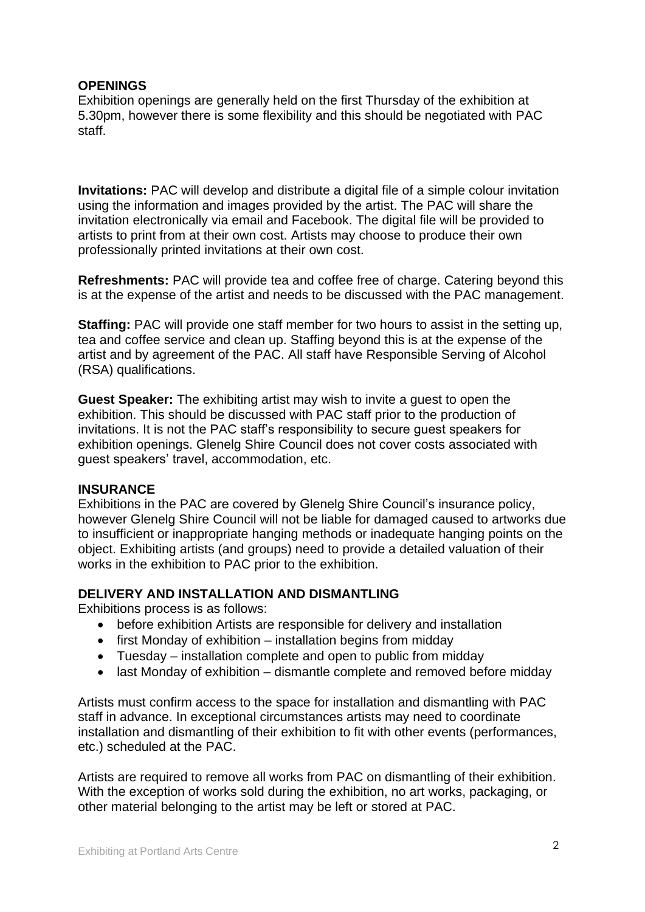# **OPENINGS**

Exhibition openings are generally held on the first Thursday of the exhibition at 5.30pm, however there is some flexibility and this should be negotiated with PAC staff.

**Invitations:** PAC will develop and distribute a digital file of a simple colour invitation using the information and images provided by the artist. The PAC will share the invitation electronically via email and Facebook. The digital file will be provided to artists to print from at their own cost. Artists may choose to produce their own professionally printed invitations at their own cost.

**Refreshments:** PAC will provide tea and coffee free of charge. Catering beyond this is at the expense of the artist and needs to be discussed with the PAC management.

**Staffing:** PAC will provide one staff member for two hours to assist in the setting up, tea and coffee service and clean up. Staffing beyond this is at the expense of the artist and by agreement of the PAC. All staff have Responsible Serving of Alcohol (RSA) qualifications.

**Guest Speaker:** The exhibiting artist may wish to invite a guest to open the exhibition. This should be discussed with PAC staff prior to the production of invitations. It is not the PAC staff's responsibility to secure guest speakers for exhibition openings. Glenelg Shire Council does not cover costs associated with guest speakers' travel, accommodation, etc.

#### **INSURANCE**

Exhibitions in the PAC are covered by Glenelg Shire Council's insurance policy, however Glenelg Shire Council will not be liable for damaged caused to artworks due to insufficient or inappropriate hanging methods or inadequate hanging points on the object. Exhibiting artists (and groups) need to provide a detailed valuation of their works in the exhibition to PAC prior to the exhibition.

#### **DELIVERY AND INSTALLATION AND DISMANTLING**

Exhibitions process is as follows:

- before exhibition Artists are responsible for delivery and installation
- first Monday of exhibition installation begins from midday
- Tuesday installation complete and open to public from midday
- last Monday of exhibition dismantle complete and removed before midday

Artists must confirm access to the space for installation and dismantling with PAC staff in advance. In exceptional circumstances artists may need to coordinate installation and dismantling of their exhibition to fit with other events (performances, etc.) scheduled at the PAC.

Artists are required to remove all works from PAC on dismantling of their exhibition. With the exception of works sold during the exhibition, no art works, packaging, or other material belonging to the artist may be left or stored at PAC.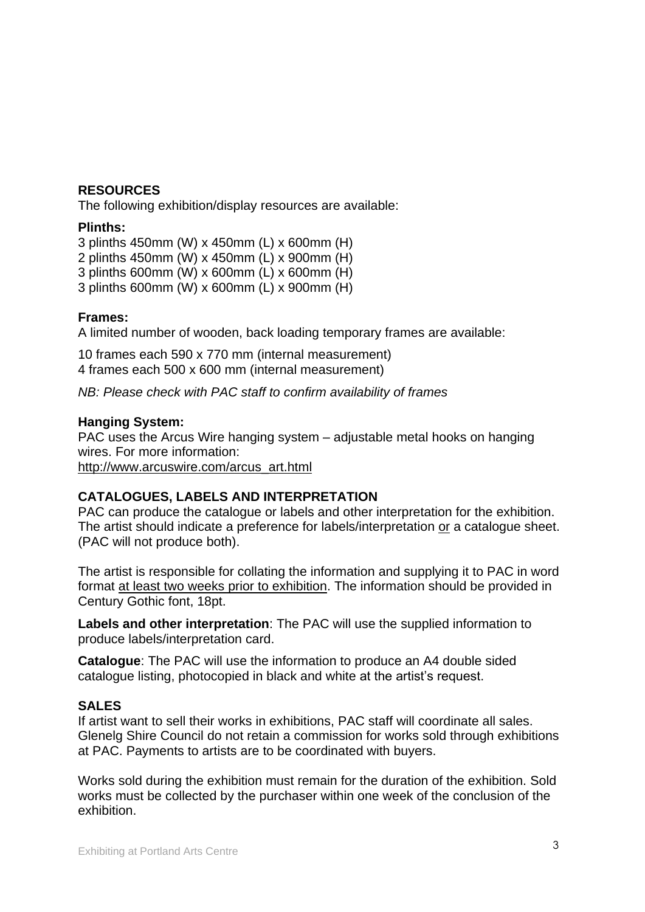#### **RESOURCES**

The following exhibition/display resources are available:

#### **Plinths:**

3 plinths 450mm (W) x 450mm (L) x 600mm (H)

2 plinths 450mm (W) x 450mm (L) x 900mm (H)

3 plinths 600mm (W) x 600mm (L) x 600mm (H)

3 plinths 600mm (W) x 600mm (L) x 900mm (H)

# **Frames:**

A limited number of wooden, back loading temporary frames are available:

10 frames each 590 x 770 mm (internal measurement) 4 frames each 500 x 600 mm (internal measurement)

*NB: Please check with PAC staff to confirm availability of frames*

#### **Hanging System:**

PAC uses the Arcus Wire hanging system – adjustable metal hooks on hanging wires. For more information: [http://www.arcuswire.com/arcus\\_art.html](http://www.arcuswire.com/arcus_art.html)

# **CATALOGUES, LABELS AND INTERPRETATION**

PAC can produce the catalogue or labels and other interpretation for the exhibition. The artist should indicate a preference for labels/interpretation or a catalogue sheet. (PAC will not produce both).

The artist is responsible for collating the information and supplying it to PAC in word format at least two weeks prior to exhibition. The information should be provided in Century Gothic font, 18pt.

**Labels and other interpretation**: The PAC will use the supplied information to produce labels/interpretation card.

**Catalogue**: The PAC will use the information to produce an A4 double sided catalogue listing, photocopied in black and white at the artist's request.

# **SALES**

If artist want to sell their works in exhibitions, PAC staff will coordinate all sales. Glenelg Shire Council do not retain a commission for works sold through exhibitions at PAC. Payments to artists are to be coordinated with buyers.

Works sold during the exhibition must remain for the duration of the exhibition. Sold works must be collected by the purchaser within one week of the conclusion of the exhibition.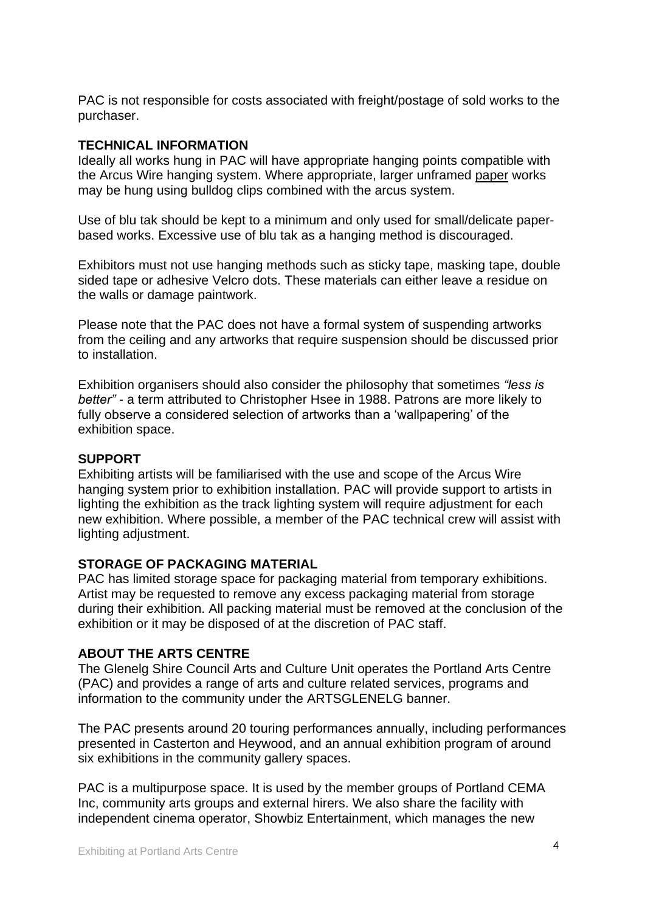PAC is not responsible for costs associated with freight/postage of sold works to the purchaser.

#### **TECHNICAL INFORMATION**

Ideally all works hung in PAC will have appropriate hanging points compatible with the Arcus Wire hanging system. Where appropriate, larger unframed paper works may be hung using bulldog clips combined with the arcus system.

Use of blu tak should be kept to a minimum and only used for small/delicate paperbased works. Excessive use of blu tak as a hanging method is discouraged.

Exhibitors must not use hanging methods such as sticky tape, masking tape, double sided tape or adhesive Velcro dots. These materials can either leave a residue on the walls or damage paintwork.

Please note that the PAC does not have a formal system of suspending artworks from the ceiling and any artworks that require suspension should be discussed prior to installation.

Exhibition organisers should also consider the philosophy that sometimes *"less is better"* - a term attributed to Christopher Hsee in 1988. Patrons are more likely to fully observe a considered selection of artworks than a 'wallpapering' of the exhibition space.

# **SUPPORT**

Exhibiting artists will be familiarised with the use and scope of the Arcus Wire hanging system prior to exhibition installation. PAC will provide support to artists in lighting the exhibition as the track lighting system will require adjustment for each new exhibition. Where possible, a member of the PAC technical crew will assist with lighting adjustment.

# **STORAGE OF PACKAGING MATERIAL**

PAC has limited storage space for packaging material from temporary exhibitions. Artist may be requested to remove any excess packaging material from storage during their exhibition. All packing material must be removed at the conclusion of the exhibition or it may be disposed of at the discretion of PAC staff.

#### **ABOUT THE ARTS CENTRE**

The Glenelg Shire Council Arts and Culture Unit operates the Portland Arts Centre (PAC) and provides a range of arts and culture related services, programs and information to the community under the ARTSGLENELG banner.

The PAC presents around 20 touring performances annually, including performances presented in Casterton and Heywood, and an annual exhibition program of around six exhibitions in the community gallery spaces.

PAC is a multipurpose space. It is used by the member groups of Portland CEMA Inc, community arts groups and external hirers. We also share the facility with independent cinema operator, Showbiz Entertainment, which manages the new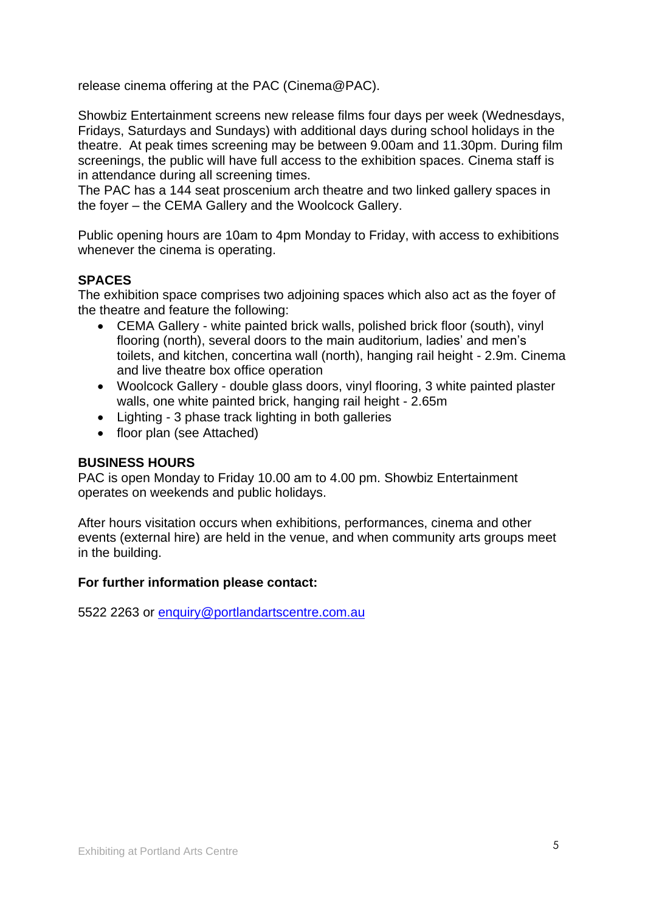release cinema offering at the PAC (Cinema@PAC).

Showbiz Entertainment screens new release films four days per week (Wednesdays, Fridays, Saturdays and Sundays) with additional days during school holidays in the theatre. At peak times screening may be between 9.00am and 11.30pm. During film screenings, the public will have full access to the exhibition spaces. Cinema staff is in attendance during all screening times.

The PAC has a 144 seat proscenium arch theatre and two linked gallery spaces in the foyer – the CEMA Gallery and the Woolcock Gallery.

Public opening hours are 10am to 4pm Monday to Friday, with access to exhibitions whenever the cinema is operating.

# **SPACES**

The exhibition space comprises two adjoining spaces which also act as the foyer of the theatre and feature the following:

- CEMA Gallery white painted brick walls, polished brick floor (south), vinyl flooring (north), several doors to the main auditorium, ladies' and men's toilets, and kitchen, concertina wall (north), hanging rail height - 2.9m. Cinema and live theatre box office operation
- Woolcock Gallery double glass doors, vinyl flooring, 3 white painted plaster walls, one white painted brick, hanging rail height - 2.65m
- Lighting 3 phase track lighting in both galleries
- floor plan (see Attached)

# **BUSINESS HOURS**

PAC is open Monday to Friday 10.00 am to 4.00 pm. Showbiz Entertainment operates on weekends and public holidays.

After hours visitation occurs when exhibitions, performances, cinema and other events (external hire) are held in the venue, and when community arts groups meet in the building.

#### **For further information please contact:**

5522 2263 or [enquiry@portlandartscentre.com.au](mailto:enquiry@portlandartscentre.com.au)